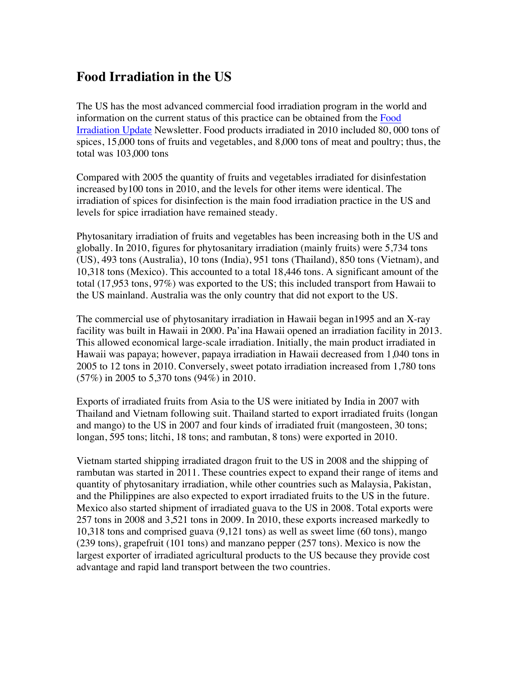## **Food Irradiation in the US**

The US has the most advanced commercial food irradiation program in the world and information on the current status of this practice can be obtained from the Food Irradiation Update Newsletter. Food products irradiated in 2010 included 80, 000 tons of spices, 15,000 tons of fruits and vegetables, and 8,000 tons of meat and poultry; thus, the total was 103,000 tons

Compared with 2005 the quantity of fruits and vegetables irradiated for disinfestation increased by100 tons in 2010, and the levels for other items were identical. The irradiation of spices for disinfection is the main food irradiation practice in the US and levels for spice irradiation have remained steady.

Phytosanitary irradiation of fruits and vegetables has been increasing both in the US and globally. In 2010, figures for phytosanitary irradiation (mainly fruits) were 5,734 tons (US), 493 tons (Australia), 10 tons (India), 951 tons (Thailand), 850 tons (Vietnam), and 10,318 tons (Mexico). This accounted to a total 18,446 tons. A significant amount of the total (17,953 tons, 97%) was exported to the US; this included transport from Hawaii to the US mainland. Australia was the only country that did not export to the US.

The commercial use of phytosanitary irradiation in Hawaii began in1995 and an X-ray facility was built in Hawaii in 2000. Pa'ina Hawaii opened an irradiation facility in 2013. This allowed economical large-scale irradiation. Initially, the main product irradiated in Hawaii was papaya; however, papaya irradiation in Hawaii decreased from 1,040 tons in 2005 to 12 tons in 2010. Conversely, sweet potato irradiation increased from 1,780 tons (57%) in 2005 to 5,370 tons (94%) in 2010.

Exports of irradiated fruits from Asia to the US were initiated by India in 2007 with Thailand and Vietnam following suit. Thailand started to export irradiated fruits (longan and mango) to the US in 2007 and four kinds of irradiated fruit (mangosteen, 30 tons; longan, 595 tons; litchi, 18 tons; and rambutan, 8 tons) were exported in 2010.

Vietnam started shipping irradiated dragon fruit to the US in 2008 and the shipping of rambutan was started in 2011. These countries expect to expand their range of items and quantity of phytosanitary irradiation, while other countries such as Malaysia, Pakistan, and the Philippines are also expected to export irradiated fruits to the US in the future. Mexico also started shipment of irradiated guava to the US in 2008. Total exports were 257 tons in 2008 and 3,521 tons in 2009. In 2010, these exports increased markedly to 10,318 tons and comprised guava (9,121 tons) as well as sweet lime (60 tons), mango (239 tons), grapefruit (101 tons) and manzano pepper (257 tons). Mexico is now the largest exporter of irradiated agricultural products to the US because they provide cost advantage and rapid land transport between the two countries.